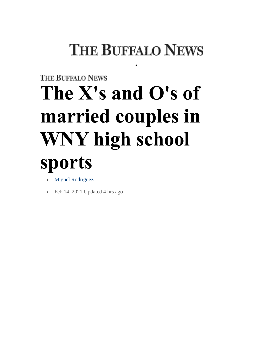## **THE BUFFALO NEWS**

•

## **THE BUFFALO NEWS The X's and O's of married couples in WNY high school sports**

- **[Miguel Rodriguez](https://buffalonews.com/users/profile/Miguel%20Rodriguez)**
- Feb 14, 2021 Updated 4 hrs ago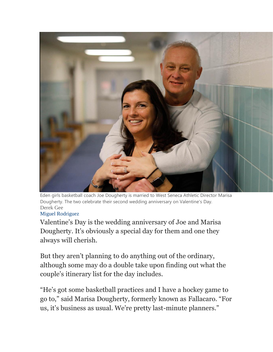

Eden girls basketball coach Joe Dougherty is married to West Seneca Athletic Director Marisa Dougherty. The two celebrate their second wedding anniversary on Valentine's Day. Derek Gee

## [Miguel Rodriguez](https://buffalonews.com/users/profile/Miguel%20Rodriguez)

Valentine's Day is the wedding anniversary of Joe and Marisa Dougherty. It's obviously a special day for them and one they always will cherish.

But they aren't planning to do anything out of the ordinary, although some may do a double take upon finding out what the couple's itinerary list for the day includes.

"He's got some basketball practices and I have a hockey game to go to," said Marisa Dougherty, formerly known as Fallacaro. "For us, it's business as usual. We're pretty last-minute planners."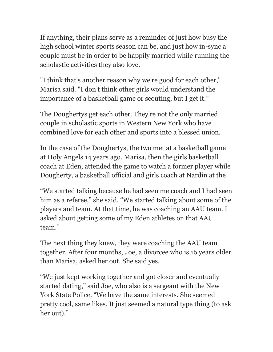If anything, their plans serve as a reminder of just how busy the high school winter sports season can be, and just how in-sync a couple must be in order to be happily married while running the scholastic activities they also love.

"I think that's another reason why we're good for each other," Marisa said. "I don't think other girls would understand the importance of a basketball game or scouting, but I get it."

The Doughertys get each other. They're not the only married couple in scholastic sports in Western New York who have combined love for each other and sports into a blessed union.

In the case of the Doughertys, the two met at a basketball game at Holy Angels 14 years ago. Marisa, then the girls basketball coach at Eden, attended the game to watch a former player while Dougherty, a basketball official and girls coach at Nardin at the

"We started talking because he had seen me coach and I had seen him as a referee," she said. "We started talking about some of the players and team. At that time, he was coaching an AAU team. I asked about getting some of my Eden athletes on that AAU team."

The next thing they knew, they were coaching the AAU team together. After four months, Joe, a divorcee who is 16 years older than Marisa, asked her out. She said yes.

"We just kept working together and got closer and eventually started dating," said Joe, who also is a sergeant with the New York State Police. "We have the same interests. She seemed pretty cool, same likes. It just seemed a natural type thing (to ask her out)."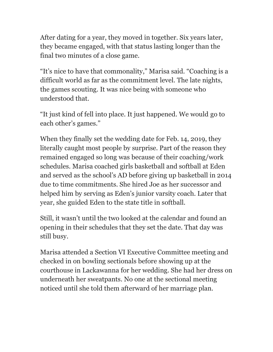After dating for a year, they moved in together. Six years later, they became engaged, with that status lasting longer than the final two minutes of a close game.

"It's nice to have that commonality," Marisa said. "Coaching is a difficult world as far as the commitment level. The late nights, the games scouting. It was nice being with someone who understood that.

"It just kind of fell into place. It just happened. We would go to each other's games."

When they finally set the wedding date for Feb. 14, 2019, they literally caught most people by surprise. Part of the reason they remained engaged so long was because of their coaching/work schedules. Marisa coached girls basketball and softball at Eden and served as the school's AD before giving up basketball in 2014 due to time commitments. She hired Joe as her successor and helped him by serving as Eden's junior varsity coach. Later that year, she guided Eden to the state title in softball.

Still, it wasn't until the two looked at the calendar and found an opening in their schedules that they set the date. That day was still busy.

Marisa attended a Section VI Executive Committee meeting and checked in on bowling sectionals before showing up at the courthouse in Lackawanna for her wedding. She had her dress on underneath her sweatpants. No one at the sectional meeting noticed until she told them afterward of her marriage plan.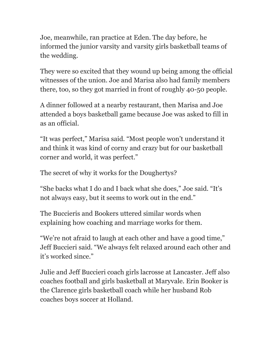Joe, meanwhile, ran practice at Eden. The day before, he informed the junior varsity and varsity girls basketball teams of the wedding.

They were so excited that they wound up being among the official witnesses of the union. Joe and Marisa also had family members there, too, so they got married in front of roughly 40-50 people.

A dinner followed at a nearby restaurant, then Marisa and Joe attended a boys basketball game because Joe was asked to fill in as an official.

"It was perfect," Marisa said. "Most people won't understand it and think it was kind of corny and crazy but for our basketball corner and world, it was perfect."

The secret of why it works for the Doughertys?

"She backs what I do and I back what she does," Joe said. "It's not always easy, but it seems to work out in the end."

The Buccieris and Bookers uttered similar words when explaining how coaching and marriage works for them.

"We're not afraid to laugh at each other and have a good time," Jeff Buccieri said. "We always felt relaxed around each other and it's worked since."

Julie and Jeff Buccieri coach girls lacrosse at Lancaster. Jeff also coaches football and girls basketball at Maryvale. Erin Booker is the Clarence girls basketball coach while her husband Rob coaches boys soccer at Holland.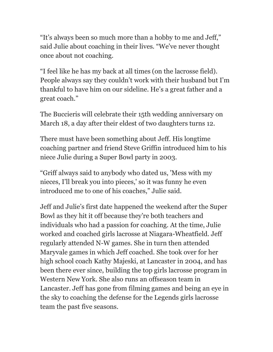"It's always been so much more than a hobby to me and Jeff," said Julie about coaching in their lives. "We've never thought once about not coaching.

"I feel like he has my back at all times (on the lacrosse field). People always say they couldn't work with their husband but I'm thankful to have him on our sideline. He's a great father and a great coach."

The Buccieris will celebrate their 15th wedding anniversary on March 18, a day after their eldest of two daughters turns 12.

There must have been something about Jeff. His longtime coaching partner and friend Steve Griffin introduced him to his niece Julie during a Super Bowl party in 2003.

"Griff always said to anybody who dated us, 'Mess with my nieces, I'll break you into pieces,' so it was funny he even introduced me to one of his coaches," Julie said.

Jeff and Julie's first date happened the weekend after the Super Bowl as they hit it off because they're both teachers and individuals who had a passion for coaching. At the time, Julie worked and coached girls lacrosse at Niagara-Wheatfield. Jeff regularly attended N-W games. She in turn then attended Maryvale games in which Jeff coached. She took over for her high school coach Kathy Majeski, at Lancaster in 2004, and has been there ever since, building the top girls lacrosse program in Western New York. She also runs an offseason team in Lancaster. Jeff has gone from filming games and being an eye in the sky to coaching the defense for the Legends girls lacrosse team the past five seasons.